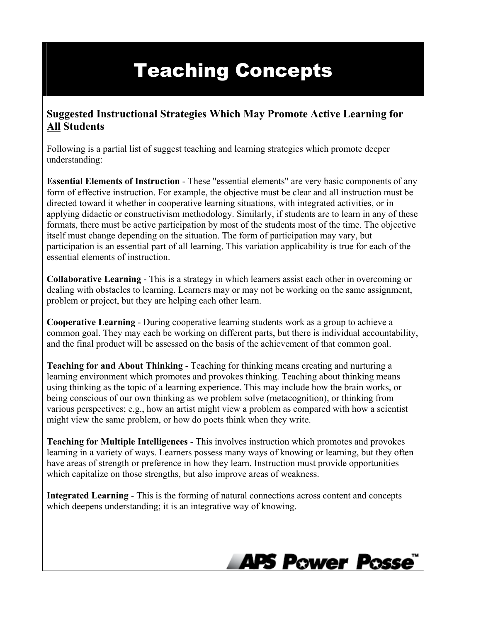## Teaching Concepts

## **Suggested Instructional Strategies Which May Promote Active Learning for All Students**

Following is a partial list of suggest teaching and learning strategies which promote deeper understanding:

**Essential Elements of Instruction** - These "essential elements" are very basic components of any form of effective instruction. For example, the objective must be clear and all instruction must be directed toward it whether in cooperative learning situations, with integrated activities, or in applying didactic or constructivism methodology. Similarly, if students are to learn in any of these formats, there must be active participation by most of the students most of the time. The objective itself must change depending on the situation. The form of participation may vary, but participation is an essential part of all learning. This variation applicability is true for each of the essential elements of instruction.

**Collaborative Learning** - This is a strategy in which learners assist each other in overcoming or dealing with obstacles to learning. Learners may or may not be working on the same assignment, problem or project, but they are helping each other learn.

**Cooperative Learning** - During cooperative learning students work as a group to achieve a common goal. They may each be working on different parts, but there is individual accountability, and the final product will be assessed on the basis of the achievement of that common goal.

**Teaching for and About Thinking** - Teaching for thinking means creating and nurturing a learning environment which promotes and provokes thinking. Teaching about thinking means using thinking as the topic of a learning experience. This may include how the brain works, or being conscious of our own thinking as we problem solve (metacognition), or thinking from various perspectives; e.g., how an artist might view a problem as compared with how a scientist might view the same problem, or how do poets think when they write.

**Teaching for Multiple Intelligences** - This involves instruction which promotes and provokes learning in a variety of ways. Learners possess many ways of knowing or learning, but they often have areas of strength or preference in how they learn. Instruction must provide opportunities which capitalize on those strengths, but also improve areas of weakness.

**Integrated Learning** - This is the forming of natural connections across content and concepts which deepens understanding; it is an integrative way of knowing.